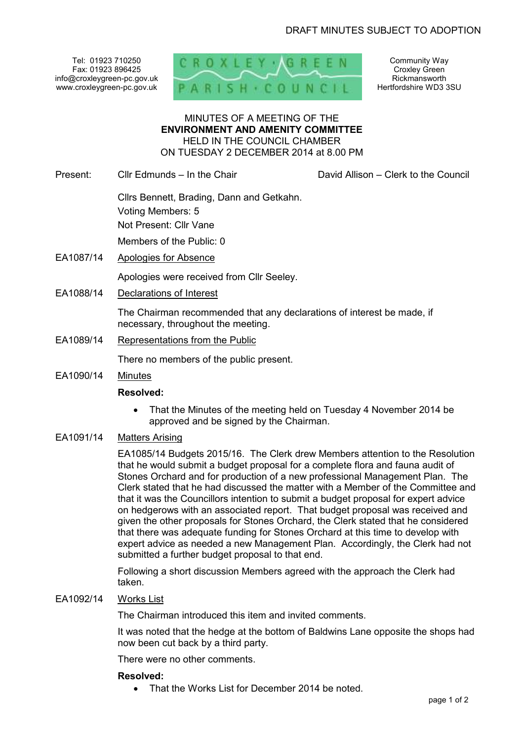Tel: 01923 710250 Fax: 01923 896425 info@croxleygreen-pc.gov.uk www.croxleygreen-pc.gov.uk



Community Way Croxley Green Rickmansworth Hertfordshire WD3 3SU

#### MINUTES OF A MEETING OF THE **ENVIRONMENT AND AMENITY COMMITTEE** HELD IN THE COUNCIL CHAMBER ON TUESDAY 2 DECEMBER 2014 at 8.00 PM

Present: Cllr Edmunds – In the Chair David Allison – Clerk to the Council

 Cllrs Bennett, Brading, Dann and Getkahn. Voting Members: 5 Not Present: Cllr Vane Members of the Public: 0

- EA1087/14 Apologies for Absence Apologies were received from Cllr Seeley.
- EA1088/14 Declarations of Interest

The Chairman recommended that any declarations of interest be made, if necessary, throughout the meeting.

EA1089/14 Representations from the Public

There no members of the public present.

EA1090/14 Minutes

#### **Resolved:**

• That the Minutes of the meeting held on Tuesday 4 November 2014 be approved and be signed by the Chairman.

## EA1091/14 Matters Arising

EA1085/14 Budgets 2015/16. The Clerk drew Members attention to the Resolution that he would submit a budget proposal for a complete flora and fauna audit of Stones Orchard and for production of a new professional Management Plan. The Clerk stated that he had discussed the matter with a Member of the Committee and that it was the Councillors intention to submit a budget proposal for expert advice on hedgerows with an associated report. That budget proposal was received and given the other proposals for Stones Orchard, the Clerk stated that he considered that there was adequate funding for Stones Orchard at this time to develop with expert advice as needed a new Management Plan. Accordingly, the Clerk had not submitted a further budget proposal to that end.

Following a short discussion Members agreed with the approach the Clerk had taken.

#### EA1092/14 Works List

The Chairman introduced this item and invited comments.

It was noted that the hedge at the bottom of Baldwins Lane opposite the shops had now been cut back by a third party.

There were no other comments.

#### **Resolved:**

• That the Works List for December 2014 be noted.